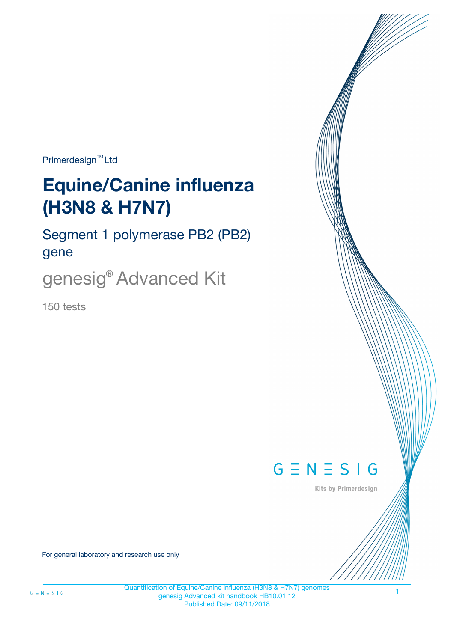Primerdesign<sup>™</sup>Ltd

# **Equine/Canine influenza (H3N8 & H7N7)**

Segment 1 polymerase PB2 (PB2) gene

genesig® Advanced Kit

150 tests



Kits by Primerdesign

For general laboratory and research use only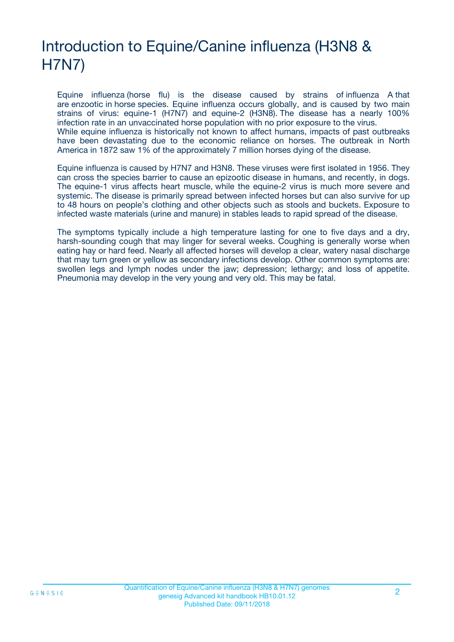# Introduction to Equine/Canine influenza (H3N8 & H7N7)

Equine influenza (horse flu) is the disease caused by strains of influenza A that are enzootic in horse species. Equine influenza occurs globally, and is caused by two main strains of virus: equine-1 (H7N7) and equine-2 (H3N8). The disease has a nearly 100% infection rate in an unvaccinated horse population with no prior exposure to the virus. While equine influenza is historically not known to affect humans, impacts of past outbreaks have been devastating due to the economic reliance on horses. The outbreak in North America in 1872 saw 1% of the approximately 7 million horses dying of the disease.

Equine influenza is caused by H7N7 and H3N8. These viruses were first isolated in 1956. They can cross the species barrier to cause an epizootic disease in humans, and recently, in dogs. The equine-1 virus affects heart muscle, while the equine-2 virus is much more severe and systemic. The disease is primarily spread between infected horses but can also survive for up to 48 hours on people's clothing and other objects such as stools and buckets. Exposure to infected waste materials (urine and manure) in stables leads to rapid spread of the disease.

The symptoms typically include a high temperature lasting for one to five days and a dry, harsh-sounding cough that may linger for several weeks. Coughing is generally worse when eating hay or hard feed. Nearly all affected horses will develop a clear, watery nasal discharge that may turn green or yellow as secondary infections develop. Other common symptoms are: swollen legs and lymph nodes under the jaw; depression; lethargy; and loss of appetite. Pneumonia may develop in the very young and very old. This may be fatal.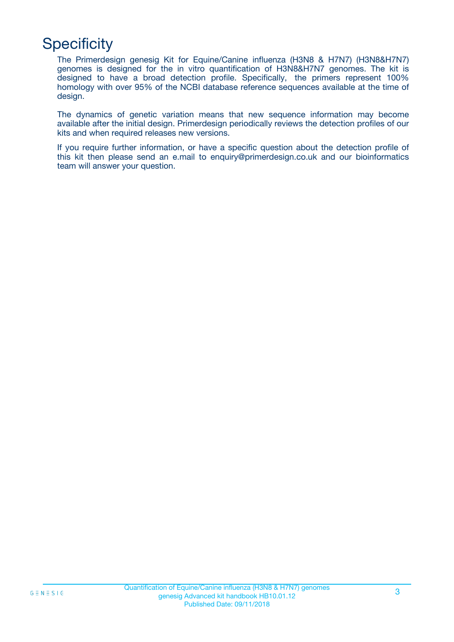# **Specificity**

The Primerdesign genesig Kit for Equine/Canine influenza (H3N8 & H7N7) (H3N8&H7N7) genomes is designed for the in vitro quantification of H3N8&H7N7 genomes. The kit is designed to have a broad detection profile. Specifically, the primers represent 100% homology with over 95% of the NCBI database reference sequences available at the time of design.

The dynamics of genetic variation means that new sequence information may become available after the initial design. Primerdesign periodically reviews the detection profiles of our kits and when required releases new versions.

If you require further information, or have a specific question about the detection profile of this kit then please send an e.mail to enquiry@primerdesign.co.uk and our bioinformatics team will answer your question.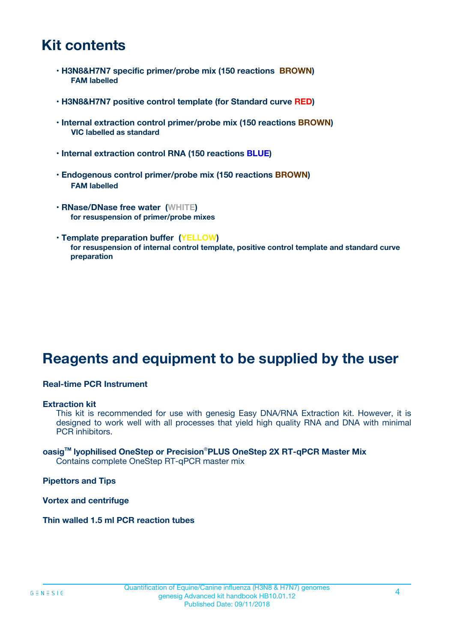# **Kit contents**

- **H3N8&H7N7 specific primer/probe mix (150 reactions BROWN) FAM labelled**
- **H3N8&H7N7 positive control template (for Standard curve RED)**
- **Internal extraction control primer/probe mix (150 reactions BROWN) VIC labelled as standard**
- **Internal extraction control RNA (150 reactions BLUE)**
- **Endogenous control primer/probe mix (150 reactions BROWN) FAM labelled**
- **RNase/DNase free water (WHITE) for resuspension of primer/probe mixes**
- **Template preparation buffer (YELLOW) for resuspension of internal control template, positive control template and standard curve preparation**

# **Reagents and equipment to be supplied by the user**

#### **Real-time PCR Instrument**

#### **Extraction kit**

This kit is recommended for use with genesig Easy DNA/RNA Extraction kit. However, it is designed to work well with all processes that yield high quality RNA and DNA with minimal PCR inhibitors.

#### **oasigTM lyophilised OneStep or Precision**®**PLUS OneStep 2X RT-qPCR Master Mix** Contains complete OneStep RT-qPCR master mix

**Pipettors and Tips**

**Vortex and centrifuge**

**Thin walled 1.5 ml PCR reaction tubes**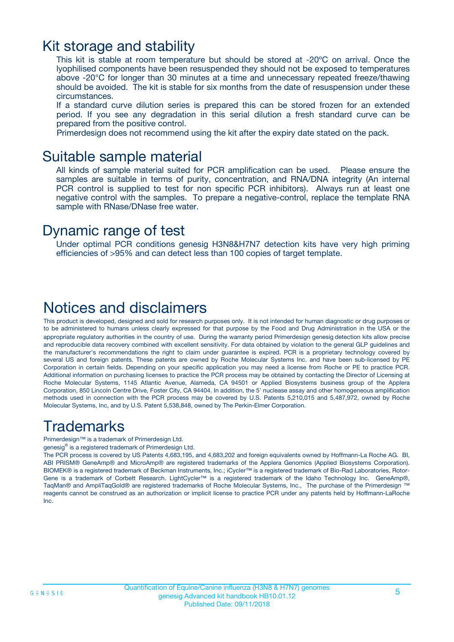### Kit storage and stability

This kit is stable at room temperature but should be stored at -20ºC on arrival. Once the lyophilised components have been resuspended they should not be exposed to temperatures above -20°C for longer than 30 minutes at a time and unnecessary repeated freeze/thawing should be avoided. The kit is stable for six months from the date of resuspension under these circumstances.

If a standard curve dilution series is prepared this can be stored frozen for an extended period. If you see any degradation in this serial dilution a fresh standard curve can be prepared from the positive control.

Primerdesign does not recommend using the kit after the expiry date stated on the pack.

### Suitable sample material

All kinds of sample material suited for PCR amplification can be used. Please ensure the samples are suitable in terms of purity, concentration, and RNA/DNA integrity (An internal PCR control is supplied to test for non specific PCR inhibitors). Always run at least one negative control with the samples. To prepare a negative-control, replace the template RNA sample with RNase/DNase free water.

### Dynamic range of test

Under optimal PCR conditions genesig H3N8&H7N7 detection kits have very high priming efficiencies of >95% and can detect less than 100 copies of target template.

## Notices and disclaimers

This product is developed, designed and sold for research purposes only. It is not intended for human diagnostic or drug purposes or to be administered to humans unless clearly expressed for that purpose by the Food and Drug Administration in the USA or the appropriate regulatory authorities in the country of use. During the warranty period Primerdesign genesig detection kits allow precise and reproducible data recovery combined with excellent sensitivity. For data obtained by violation to the general GLP guidelines and the manufacturer's recommendations the right to claim under guarantee is expired. PCR is a proprietary technology covered by several US and foreign patents. These patents are owned by Roche Molecular Systems Inc. and have been sub-licensed by PE Corporation in certain fields. Depending on your specific application you may need a license from Roche or PE to practice PCR. Additional information on purchasing licenses to practice the PCR process may be obtained by contacting the Director of Licensing at Roche Molecular Systems, 1145 Atlantic Avenue, Alameda, CA 94501 or Applied Biosystems business group of the Applera Corporation, 850 Lincoln Centre Drive, Foster City, CA 94404. In addition, the 5' nuclease assay and other homogeneous amplification methods used in connection with the PCR process may be covered by U.S. Patents 5,210,015 and 5,487,972, owned by Roche Molecular Systems, Inc, and by U.S. Patent 5,538,848, owned by The Perkin-Elmer Corporation.

# Trademarks

Primerdesign™ is a trademark of Primerdesign Ltd.

genesig® is a registered trademark of Primerdesign Ltd.

The PCR process is covered by US Patents 4,683,195, and 4,683,202 and foreign equivalents owned by Hoffmann-La Roche AG. BI, ABI PRISM® GeneAmp® and MicroAmp® are registered trademarks of the Applera Genomics (Applied Biosystems Corporation). BIOMEK® is a registered trademark of Beckman Instruments, Inc.; iCycler™ is a registered trademark of Bio-Rad Laboratories, Rotor-Gene is a trademark of Corbett Research. LightCycler™ is a registered trademark of the Idaho Technology Inc. GeneAmp®, TaqMan® and AmpliTaqGold® are registered trademarks of Roche Molecular Systems, Inc., The purchase of the Primerdesign ™ reagents cannot be construed as an authorization or implicit license to practice PCR under any patents held by Hoffmann-LaRoche Inc.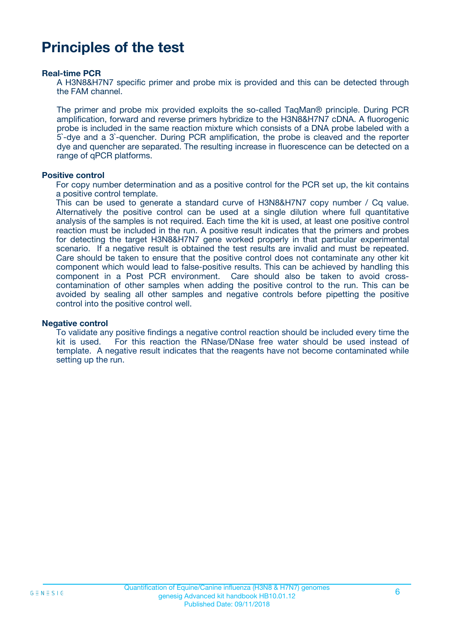# **Principles of the test**

#### **Real-time PCR**

A H3N8&H7N7 specific primer and probe mix is provided and this can be detected through the FAM channel.

The primer and probe mix provided exploits the so-called TaqMan® principle. During PCR amplification, forward and reverse primers hybridize to the H3N8&H7N7 cDNA. A fluorogenic probe is included in the same reaction mixture which consists of a DNA probe labeled with a 5`-dye and a 3`-quencher. During PCR amplification, the probe is cleaved and the reporter dye and quencher are separated. The resulting increase in fluorescence can be detected on a range of qPCR platforms.

#### **Positive control**

For copy number determination and as a positive control for the PCR set up, the kit contains a positive control template.

This can be used to generate a standard curve of H3N8&H7N7 copy number / Cq value. Alternatively the positive control can be used at a single dilution where full quantitative analysis of the samples is not required. Each time the kit is used, at least one positive control reaction must be included in the run. A positive result indicates that the primers and probes for detecting the target H3N8&H7N7 gene worked properly in that particular experimental scenario. If a negative result is obtained the test results are invalid and must be repeated. Care should be taken to ensure that the positive control does not contaminate any other kit component which would lead to false-positive results. This can be achieved by handling this component in a Post PCR environment. Care should also be taken to avoid crosscontamination of other samples when adding the positive control to the run. This can be avoided by sealing all other samples and negative controls before pipetting the positive control into the positive control well.

#### **Negative control**

To validate any positive findings a negative control reaction should be included every time the kit is used. For this reaction the RNase/DNase free water should be used instead of template. A negative result indicates that the reagents have not become contaminated while setting up the run.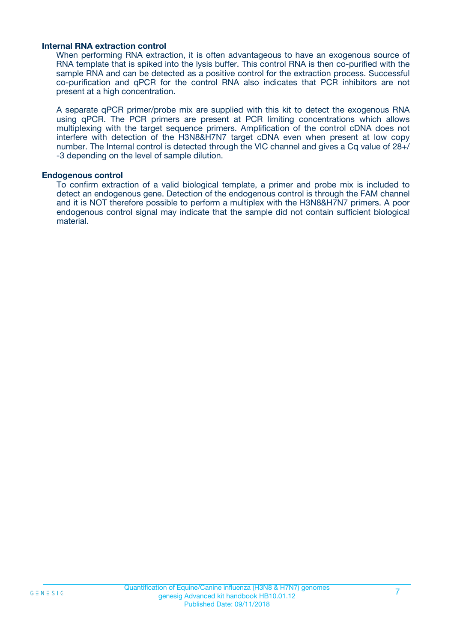#### **Internal RNA extraction control**

When performing RNA extraction, it is often advantageous to have an exogenous source of RNA template that is spiked into the lysis buffer. This control RNA is then co-purified with the sample RNA and can be detected as a positive control for the extraction process. Successful co-purification and qPCR for the control RNA also indicates that PCR inhibitors are not present at a high concentration.

A separate qPCR primer/probe mix are supplied with this kit to detect the exogenous RNA using qPCR. The PCR primers are present at PCR limiting concentrations which allows multiplexing with the target sequence primers. Amplification of the control cDNA does not interfere with detection of the H3N8&H7N7 target cDNA even when present at low copy number. The Internal control is detected through the VIC channel and gives a Cq value of 28+/ -3 depending on the level of sample dilution.

#### **Endogenous control**

To confirm extraction of a valid biological template, a primer and probe mix is included to detect an endogenous gene. Detection of the endogenous control is through the FAM channel and it is NOT therefore possible to perform a multiplex with the H3N8&H7N7 primers. A poor endogenous control signal may indicate that the sample did not contain sufficient biological material.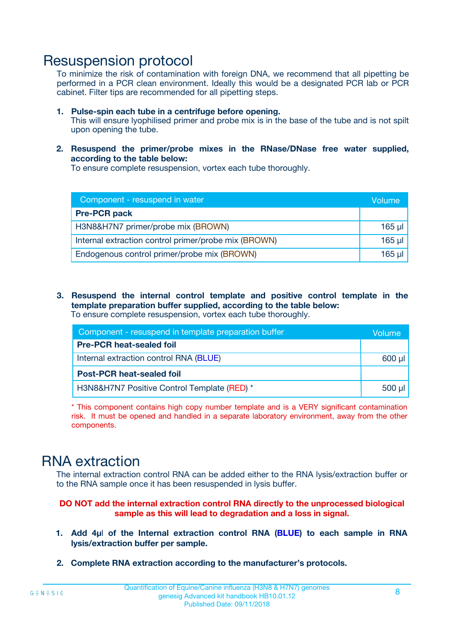## Resuspension protocol

To minimize the risk of contamination with foreign DNA, we recommend that all pipetting be performed in a PCR clean environment. Ideally this would be a designated PCR lab or PCR cabinet. Filter tips are recommended for all pipetting steps.

- **1. Pulse-spin each tube in a centrifuge before opening.** This will ensure lyophilised primer and probe mix is in the base of the tube and is not spilt upon opening the tube.
- **2. Resuspend the primer/probe mixes in the RNase/DNase free water supplied, according to the table below:**

To ensure complete resuspension, vortex each tube thoroughly.

| Component - resuspend in water                       |          |  |
|------------------------------------------------------|----------|--|
| <b>Pre-PCR pack</b>                                  |          |  |
| H3N8&H7N7 primer/probe mix (BROWN)                   | $165$ µl |  |
| Internal extraction control primer/probe mix (BROWN) | $165$ µl |  |
| Endogenous control primer/probe mix (BROWN)          | 165 µl   |  |

**3. Resuspend the internal control template and positive control template in the template preparation buffer supplied, according to the table below:** To ensure complete resuspension, vortex each tube thoroughly.

| Component - resuspend in template preparation buffer |  |  |  |
|------------------------------------------------------|--|--|--|
| <b>Pre-PCR heat-sealed foil</b>                      |  |  |  |
| Internal extraction control RNA (BLUE)               |  |  |  |
| <b>Post-PCR heat-sealed foil</b>                     |  |  |  |
| H3N8&H7N7 Positive Control Template (RED) *          |  |  |  |

\* This component contains high copy number template and is a VERY significant contamination risk. It must be opened and handled in a separate laboratory environment, away from the other components.

# RNA extraction

The internal extraction control RNA can be added either to the RNA lysis/extraction buffer or to the RNA sample once it has been resuspended in lysis buffer.

#### **DO NOT add the internal extraction control RNA directly to the unprocessed biological sample as this will lead to degradation and a loss in signal.**

- **1. Add 4µ**l **of the Internal extraction control RNA (BLUE) to each sample in RNA lysis/extraction buffer per sample.**
- **2. Complete RNA extraction according to the manufacturer's protocols.**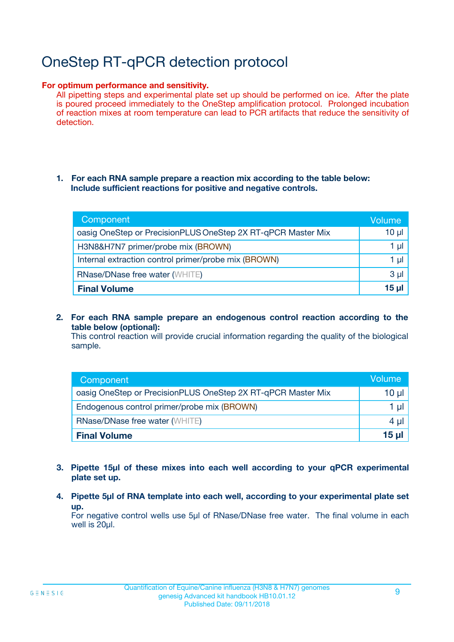# OneStep RT-qPCR detection protocol

#### **For optimum performance and sensitivity.**

All pipetting steps and experimental plate set up should be performed on ice. After the plate is poured proceed immediately to the OneStep amplification protocol. Prolonged incubation of reaction mixes at room temperature can lead to PCR artifacts that reduce the sensitivity of detection.

#### **1. For each RNA sample prepare a reaction mix according to the table below: Include sufficient reactions for positive and negative controls.**

| Component                                                    | Volume   |
|--------------------------------------------------------------|----------|
| oasig OneStep or PrecisionPLUS OneStep 2X RT-qPCR Master Mix | $10 \mu$ |
| H3N8&H7N7 primer/probe mix (BROWN)                           | 1 µl     |
| Internal extraction control primer/probe mix (BROWN)         | 1 µI     |
| <b>RNase/DNase free water (WHITE)</b>                        | $3 \mu$  |
| <b>Final Volume</b>                                          | 15 ul    |

**2. For each RNA sample prepare an endogenous control reaction according to the table below (optional):**

This control reaction will provide crucial information regarding the quality of the biological sample.

| Component                                                    | Volume          |
|--------------------------------------------------------------|-----------------|
| oasig OneStep or PrecisionPLUS OneStep 2X RT-qPCR Master Mix | 10 µl           |
| Endogenous control primer/probe mix (BROWN)                  | 1 µl            |
| <b>RNase/DNase free water (WHITE)</b>                        | $4 \mu$         |
| <b>Final Volume</b>                                          | $15$ µl $\vert$ |

- **3. Pipette 15µl of these mixes into each well according to your qPCR experimental plate set up.**
- **4. Pipette 5µl of RNA template into each well, according to your experimental plate set up.**

For negative control wells use 5µl of RNase/DNase free water. The final volume in each well is 20µl.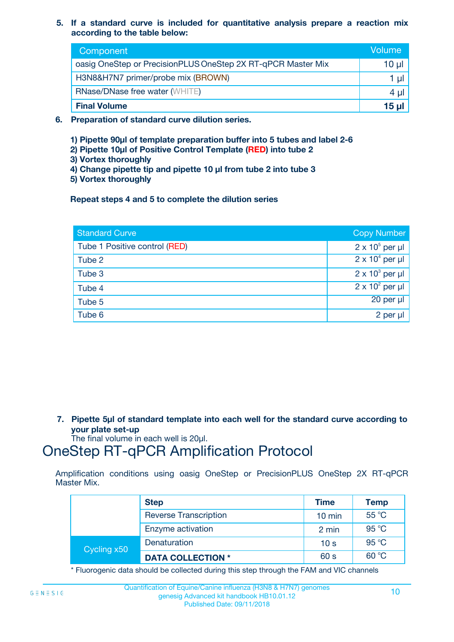**5. If a standard curve is included for quantitative analysis prepare a reaction mix according to the table below:**

| Component                                                    | Volume       |
|--------------------------------------------------------------|--------------|
| oasig OneStep or PrecisionPLUS OneStep 2X RT-qPCR Master Mix | $10 \mu$     |
| H3N8&H7N7 primer/probe mix (BROWN)                           |              |
| <b>RNase/DNase free water (WHITE)</b>                        | 4 µl         |
| <b>Final Volume</b>                                          | <u>15 µl</u> |

- **6. Preparation of standard curve dilution series.**
	- **1) Pipette 90µl of template preparation buffer into 5 tubes and label 2-6**
	- **2) Pipette 10µl of Positive Control Template (RED) into tube 2**
	- **3) Vortex thoroughly**
	- **4) Change pipette tip and pipette 10 µl from tube 2 into tube 3**
	- **5) Vortex thoroughly**

**Repeat steps 4 and 5 to complete the dilution series**

| <b>Standard Curve</b>         | <b>Copy Number</b>     |
|-------------------------------|------------------------|
| Tube 1 Positive control (RED) | $2 \times 10^5$ per µl |
| Tube 2                        | $2 \times 10^4$ per µl |
| Tube 3                        | $2 \times 10^3$ per µl |
| Tube 4                        | $2 \times 10^2$ per µl |
| Tube 5                        | 20 per µl              |
| Tube 6                        | $2$ per $\mu$          |

**7. Pipette 5µl of standard template into each well for the standard curve according to your plate set-up**

The final volume in each well is 20µl.

# OneStep RT-qPCR Amplification Protocol

Amplification conditions using oasig OneStep or PrecisionPLUS OneStep 2X RT-qPCR Master Mix.

|             | <b>Step</b>                  | <b>Time</b>      | <b>Temp</b> |
|-------------|------------------------------|------------------|-------------|
|             | <b>Reverse Transcription</b> | $10 \text{ min}$ | 55 °C       |
|             | Enzyme activation            | 2 min            | 95 °C       |
| Cycling x50 | Denaturation                 | 10 <sub>s</sub>  | 95 °C       |
|             | <b>DATA COLLECTION *</b>     | 60 s             | 60 °C       |

\* Fluorogenic data should be collected during this step through the FAM and VIC channels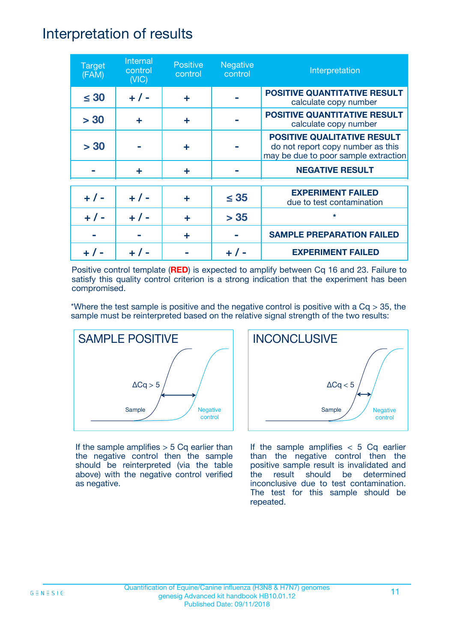## Interpretation of results

| <b>Target</b><br>(FAM) | Internal<br>control<br>(NIC) | <b>Positive</b><br>control | <b>Negative</b><br>control | Interpretation                                                                                                  |
|------------------------|------------------------------|----------------------------|----------------------------|-----------------------------------------------------------------------------------------------------------------|
| $\leq 30$              | $+ 1 -$                      | ÷                          |                            | <b>POSITIVE QUANTITATIVE RESULT</b><br>calculate copy number                                                    |
| > 30                   | ٠                            | ÷                          |                            | <b>POSITIVE QUANTITATIVE RESULT</b><br>calculate copy number                                                    |
| > 30                   |                              | ÷                          |                            | <b>POSITIVE QUALITATIVE RESULT</b><br>do not report copy number as this<br>may be due to poor sample extraction |
|                        | ÷                            | ÷                          |                            | <b>NEGATIVE RESULT</b>                                                                                          |
| $+ 1 -$                | $+ 1 -$                      | ÷                          | $\leq$ 35                  | <b>EXPERIMENT FAILED</b><br>due to test contamination                                                           |
| $+ 1 -$                | $+ 1 -$                      | ÷                          | > 35                       | $\star$                                                                                                         |
|                        |                              | ÷                          |                            | <b>SAMPLE PREPARATION FAILED</b>                                                                                |
|                        |                              |                            |                            | <b>EXPERIMENT FAILED</b>                                                                                        |

Positive control template (**RED**) is expected to amplify between Cq 16 and 23. Failure to satisfy this quality control criterion is a strong indication that the experiment has been compromised.

\*Where the test sample is positive and the negative control is positive with a  $Cq > 35$ , the sample must be reinterpreted based on the relative signal strength of the two results:



If the sample amplifies  $> 5$  Cq earlier than the negative control then the sample should be reinterpreted (via the table above) with the negative control verified as negative.



If the sample amplifies  $< 5$  Cq earlier than the negative control then the positive sample result is invalidated and the result should be determined inconclusive due to test contamination. The test for this sample should be repeated.